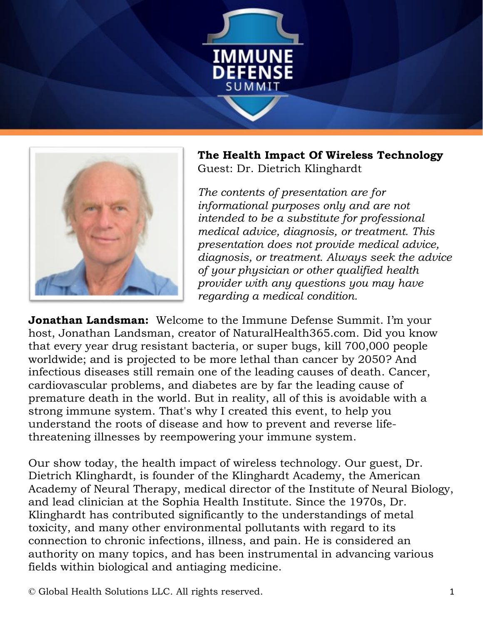



**The Health Impact Of Wireless Technology** Guest: Dr. Dietrich Klinghardt

*The contents of presentation are for informational purposes only and are not intended to be a substitute for professional medical advice, diagnosis, or treatment. This presentation does not provide medical advice, diagnosis, or treatment. Always seek the advice of your physician or other qualified health provider with any questions you may have regarding a medical condition.*

**Jonathan Landsman:** Welcome to the Immune Defense Summit. I'm your host, Jonathan Landsman, creator of NaturalHealth365.com. Did you know that every year drug resistant bacteria, or super bugs, kill 700,000 people worldwide; and is projected to be more lethal than cancer by 2050? And infectious diseases still remain one of the leading causes of death. Cancer, cardiovascular problems, and diabetes are by far the leading cause of premature death in the world. But in reality, all of this is avoidable with a strong immune system. That's why I created this event, to help you understand the roots of disease and how to prevent and reverse lifethreatening illnesses by reempowering your immune system.

Our show today, the health impact of wireless technology. Our guest, Dr. Dietrich Klinghardt, is founder of the Klinghardt Academy, the American Academy of Neural Therapy, medical director of the Institute of Neural Biology, and lead clinician at the Sophia Health Institute. Since the 1970s, Dr. Klinghardt has contributed significantly to the understandings of metal toxicity, and many other environmental pollutants with regard to its connection to chronic infections, illness, and pain. He is considered an authority on many topics, and has been instrumental in advancing various fields within biological and antiaging medicine.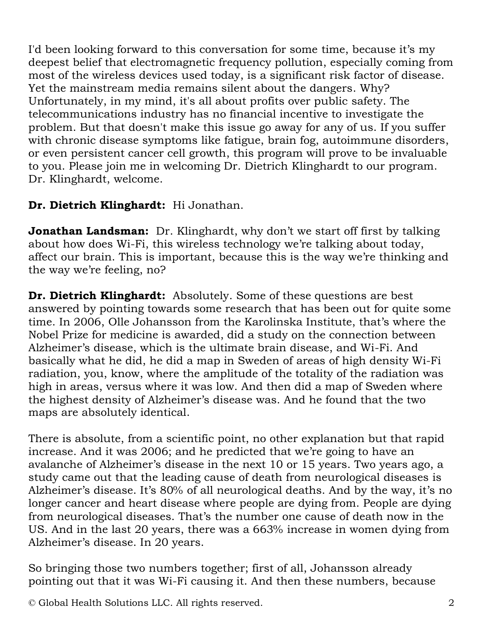I'd been looking forward to this conversation for some time, because it's my deepest belief that electromagnetic frequency pollution, especially coming from most of the wireless devices used today, is a significant risk factor of disease. Yet the mainstream media remains silent about the dangers. Why? Unfortunately, in my mind, it's all about profits over public safety. The telecommunications industry has no financial incentive to investigate the problem. But that doesn't make this issue go away for any of us. If you suffer with chronic disease symptoms like fatigue, brain fog, autoimmune disorders, or even persistent cancer cell growth, this program will prove to be invaluable to you. Please join me in welcoming Dr. Dietrich Klinghardt to our program. Dr. Klinghardt, welcome.

## **Dr. Dietrich Klinghardt:** Hi Jonathan.

**Jonathan Landsman:** Dr. Klinghardt, why don't we start off first by talking about how does Wi-Fi, this wireless technology we're talking about today, affect our brain. This is important, because this is the way we're thinking and the way we're feeling, no?

**Dr. Dietrich Klinghardt:** Absolutely. Some of these questions are best answered by pointing towards some research that has been out for quite some time. In 2006, Olle Johansson from the Karolinska Institute, that's where the Nobel Prize for medicine is awarded, did a study on the connection between Alzheimer's disease, which is the ultimate brain disease, and Wi-Fi. And basically what he did, he did a map in Sweden of areas of high density Wi-Fi radiation, you, know, where the amplitude of the totality of the radiation was high in areas, versus where it was low. And then did a map of Sweden where the highest density of Alzheimer's disease was. And he found that the two maps are absolutely identical.

There is absolute, from a scientific point, no other explanation but that rapid increase. And it was 2006; and he predicted that we're going to have an avalanche of Alzheimer's disease in the next 10 or 15 years. Two years ago, a study came out that the leading cause of death from neurological diseases is Alzheimer's disease. It's 80% of all neurological deaths. And by the way, it's no longer cancer and heart disease where people are dying from. People are dying from neurological diseases. That's the number one cause of death now in the US. And in the last 20 years, there was a 663% increase in women dying from Alzheimer's disease. In 20 years.

So bringing those two numbers together; first of all, Johansson already pointing out that it was Wi-Fi causing it. And then these numbers, because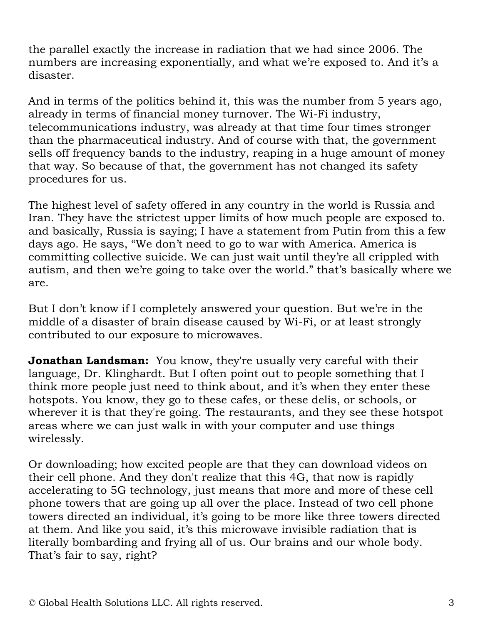the parallel exactly the increase in radiation that we had since 2006. The numbers are increasing exponentially, and what we're exposed to. And it's a disaster.

And in terms of the politics behind it, this was the number from 5 years ago, already in terms of financial money turnover. The Wi-Fi industry, telecommunications industry, was already at that time four times stronger than the pharmaceutical industry. And of course with that, the government sells off frequency bands to the industry, reaping in a huge amount of money that way. So because of that, the government has not changed its safety procedures for us.

The highest level of safety offered in any country in the world is Russia and Iran. They have the strictest upper limits of how much people are exposed to. and basically, Russia is saying; I have a statement from Putin from this a few days ago. He says, "We don't need to go to war with America. America is committing collective suicide. We can just wait until they're all crippled with autism, and then we're going to take over the world." that's basically where we are.

But I don't know if I completely answered your question. But we're in the middle of a disaster of brain disease caused by Wi-Fi, or at least strongly contributed to our exposure to microwaves.

**Jonathan Landsman:** You know, they're usually very careful with their language, Dr. Klinghardt. But I often point out to people something that I think more people just need to think about, and it's when they enter these hotspots. You know, they go to these cafes, or these delis, or schools, or wherever it is that they're going. The restaurants, and they see these hotspot areas where we can just walk in with your computer and use things wirelessly.

Or downloading; how excited people are that they can download videos on their cell phone. And they don't realize that this 4G, that now is rapidly accelerating to 5G technology, just means that more and more of these cell phone towers that are going up all over the place. Instead of two cell phone towers directed an individual, it's going to be more like three towers directed at them. And like you said, it's this microwave invisible radiation that is literally bombarding and frying all of us. Our brains and our whole body. That's fair to say, right?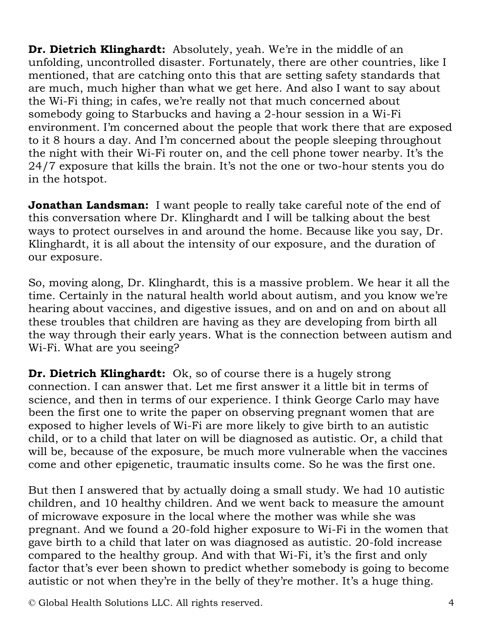**Dr. Dietrich Klinghardt:** Absolutely, yeah. We're in the middle of an unfolding, uncontrolled disaster. Fortunately, there are other countries, like I mentioned, that are catching onto this that are setting safety standards that are much, much higher than what we get here. And also I want to say about the Wi-Fi thing; in cafes, we're really not that much concerned about somebody going to Starbucks and having a 2-hour session in a Wi-Fi environment. I'm concerned about the people that work there that are exposed to it 8 hours a day. And I'm concerned about the people sleeping throughout the night with their Wi-Fi router on, and the cell phone tower nearby. It's the 24/7 exposure that kills the brain. It's not the one or two-hour stents you do in the hotspot.

**Jonathan Landsman:** I want people to really take careful note of the end of this conversation where Dr. Klinghardt and I will be talking about the best ways to protect ourselves in and around the home. Because like you say, Dr. Klinghardt, it is all about the intensity of our exposure, and the duration of our exposure.

So, moving along, Dr. Klinghardt, this is a massive problem. We hear it all the time. Certainly in the natural health world about autism, and you know we're hearing about vaccines, and digestive issues, and on and on and on about all these troubles that children are having as they are developing from birth all the way through their early years. What is the connection between autism and Wi-Fi. What are you seeing?

**Dr. Dietrich Klinghardt:** Ok, so of course there is a hugely strong connection. I can answer that. Let me first answer it a little bit in terms of science, and then in terms of our experience. I think George Carlo may have been the first one to write the paper on observing pregnant women that are exposed to higher levels of Wi-Fi are more likely to give birth to an autistic child, or to a child that later on will be diagnosed as autistic. Or, a child that will be, because of the exposure, be much more vulnerable when the vaccines come and other epigenetic, traumatic insults come. So he was the first one.

But then I answered that by actually doing a small study. We had 10 autistic children, and 10 healthy children. And we went back to measure the amount of microwave exposure in the local where the mother was while she was pregnant. And we found a 20-fold higher exposure to Wi-Fi in the women that gave birth to a child that later on was diagnosed as autistic. 20-fold increase compared to the healthy group. And with that Wi-Fi, it's the first and only factor that's ever been shown to predict whether somebody is going to become autistic or not when they're in the belly of they're mother. It's a huge thing.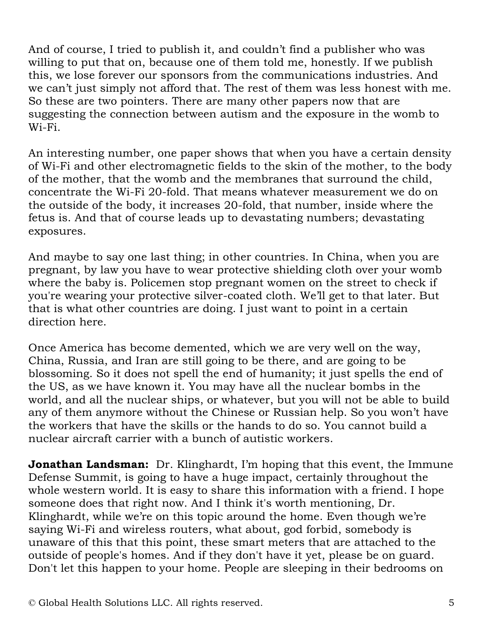And of course, I tried to publish it, and couldn't find a publisher who was willing to put that on, because one of them told me, honestly. If we publish this, we lose forever our sponsors from the communications industries. And we can't just simply not afford that. The rest of them was less honest with me. So these are two pointers. There are many other papers now that are suggesting the connection between autism and the exposure in the womb to Wi-Fi.

An interesting number, one paper shows that when you have a certain density of Wi-Fi and other electromagnetic fields to the skin of the mother, to the body of the mother, that the womb and the membranes that surround the child, concentrate the Wi-Fi 20-fold. That means whatever measurement we do on the outside of the body, it increases 20-fold, that number, inside where the fetus is. And that of course leads up to devastating numbers; devastating exposures.

And maybe to say one last thing; in other countries. In China, when you are pregnant, by law you have to wear protective shielding cloth over your womb where the baby is. Policemen stop pregnant women on the street to check if you're wearing your protective silver-coated cloth. We'll get to that later. But that is what other countries are doing. I just want to point in a certain direction here.

Once America has become demented, which we are very well on the way, China, Russia, and Iran are still going to be there, and are going to be blossoming. So it does not spell the end of humanity; it just spells the end of the US, as we have known it. You may have all the nuclear bombs in the world, and all the nuclear ships, or whatever, but you will not be able to build any of them anymore without the Chinese or Russian help. So you won't have the workers that have the skills or the hands to do so. You cannot build a nuclear aircraft carrier with a bunch of autistic workers.

**Jonathan Landsman:** Dr. Klinghardt, I'm hoping that this event, the Immune Defense Summit, is going to have a huge impact, certainly throughout the whole western world. It is easy to share this information with a friend. I hope someone does that right now. And I think it's worth mentioning, Dr. Klinghardt, while we're on this topic around the home. Even though we're saying Wi-Fi and wireless routers, what about, god forbid, somebody is unaware of this that this point, these smart meters that are attached to the outside of people's homes. And if they don't have it yet, please be on guard. Don't let this happen to your home. People are sleeping in their bedrooms on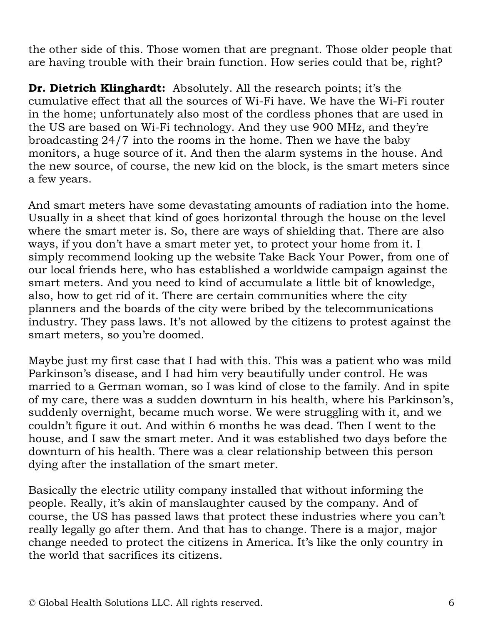the other side of this. Those women that are pregnant. Those older people that are having trouble with their brain function. How series could that be, right?

**Dr. Dietrich Klinghardt:** Absolutely. All the research points; it's the cumulative effect that all the sources of Wi-Fi have. We have the Wi-Fi router in the home; unfortunately also most of the cordless phones that are used in the US are based on Wi-Fi technology. And they use 900 MHz, and they're broadcasting 24/7 into the rooms in the home. Then we have the baby monitors, a huge source of it. And then the alarm systems in the house. And the new source, of course, the new kid on the block, is the smart meters since a few years.

And smart meters have some devastating amounts of radiation into the home. Usually in a sheet that kind of goes horizontal through the house on the level where the smart meter is. So, there are ways of shielding that. There are also ways, if you don't have a smart meter yet, to protect your home from it. I simply recommend looking up the website Take Back Your Power, from one of our local friends here, who has established a worldwide campaign against the smart meters. And you need to kind of accumulate a little bit of knowledge, also, how to get rid of it. There are certain communities where the city planners and the boards of the city were bribed by the telecommunications industry. They pass laws. It's not allowed by the citizens to protest against the smart meters, so you're doomed.

Maybe just my first case that I had with this. This was a patient who was mild Parkinson's disease, and I had him very beautifully under control. He was married to a German woman, so I was kind of close to the family. And in spite of my care, there was a sudden downturn in his health, where his Parkinson's, suddenly overnight, became much worse. We were struggling with it, and we couldn't figure it out. And within 6 months he was dead. Then I went to the house, and I saw the smart meter. And it was established two days before the downturn of his health. There was a clear relationship between this person dying after the installation of the smart meter.

Basically the electric utility company installed that without informing the people. Really, it's akin of manslaughter caused by the company. And of course, the US has passed laws that protect these industries where you can't really legally go after them. And that has to change. There is a major, major change needed to protect the citizens in America. It's like the only country in the world that sacrifices its citizens.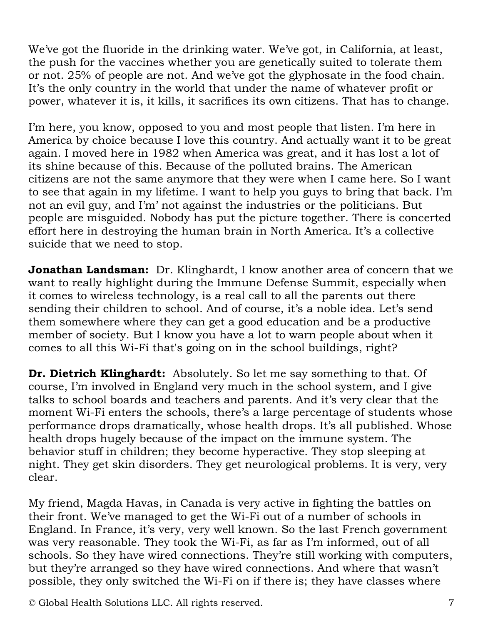We've got the fluoride in the drinking water. We've got, in California, at least, the push for the vaccines whether you are genetically suited to tolerate them or not. 25% of people are not. And we've got the glyphosate in the food chain. It's the only country in the world that under the name of whatever profit or power, whatever it is, it kills, it sacrifices its own citizens. That has to change.

I'm here, you know, opposed to you and most people that listen. I'm here in America by choice because I love this country. And actually want it to be great again. I moved here in 1982 when America was great, and it has lost a lot of its shine because of this. Because of the polluted brains. The American citizens are not the same anymore that they were when I came here. So I want to see that again in my lifetime. I want to help you guys to bring that back. I'm not an evil guy, and I'm' not against the industries or the politicians. But people are misguided. Nobody has put the picture together. There is concerted effort here in destroying the human brain in North America. It's a collective suicide that we need to stop.

**Jonathan Landsman:** Dr. Klinghardt, I know another area of concern that we want to really highlight during the Immune Defense Summit, especially when it comes to wireless technology, is a real call to all the parents out there sending their children to school. And of course, it's a noble idea. Let's send them somewhere where they can get a good education and be a productive member of society. But I know you have a lot to warn people about when it comes to all this Wi-Fi that's going on in the school buildings, right?

**Dr. Dietrich Klinghardt:** Absolutely. So let me say something to that. Of course, I'm involved in England very much in the school system, and I give talks to school boards and teachers and parents. And it's very clear that the moment Wi-Fi enters the schools, there's a large percentage of students whose performance drops dramatically, whose health drops. It's all published. Whose health drops hugely because of the impact on the immune system. The behavior stuff in children; they become hyperactive. They stop sleeping at night. They get skin disorders. They get neurological problems. It is very, very clear.

My friend, Magda Havas, in Canada is very active in fighting the battles on their front. We've managed to get the Wi-Fi out of a number of schools in England. In France, it's very, very well known. So the last French government was very reasonable. They took the Wi-Fi, as far as I'm informed, out of all schools. So they have wired connections. They're still working with computers, but they're arranged so they have wired connections. And where that wasn't possible, they only switched the Wi-Fi on if there is; they have classes where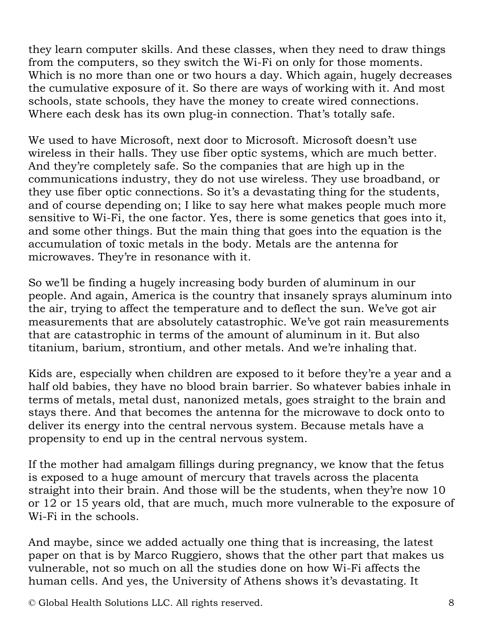they learn computer skills. And these classes, when they need to draw things from the computers, so they switch the Wi-Fi on only for those moments. Which is no more than one or two hours a day. Which again, hugely decreases the cumulative exposure of it. So there are ways of working with it. And most schools, state schools, they have the money to create wired connections. Where each desk has its own plug-in connection. That's totally safe.

We used to have Microsoft, next door to Microsoft. Microsoft doesn't use wireless in their halls. They use fiber optic systems, which are much better. And they're completely safe. So the companies that are high up in the communications industry, they do not use wireless. They use broadband, or they use fiber optic connections. So it's a devastating thing for the students, and of course depending on; I like to say here what makes people much more sensitive to Wi-Fi, the one factor. Yes, there is some genetics that goes into it, and some other things. But the main thing that goes into the equation is the accumulation of toxic metals in the body. Metals are the antenna for microwaves. They're in resonance with it.

So we'll be finding a hugely increasing body burden of aluminum in our people. And again, America is the country that insanely sprays aluminum into the air, trying to affect the temperature and to deflect the sun. We've got air measurements that are absolutely catastrophic. We've got rain measurements that are catastrophic in terms of the amount of aluminum in it. But also titanium, barium, strontium, and other metals. And we're inhaling that.

Kids are, especially when children are exposed to it before they're a year and a half old babies, they have no blood brain barrier. So whatever babies inhale in terms of metals, metal dust, nanonized metals, goes straight to the brain and stays there. And that becomes the antenna for the microwave to dock onto to deliver its energy into the central nervous system. Because metals have a propensity to end up in the central nervous system.

If the mother had amalgam fillings during pregnancy, we know that the fetus is exposed to a huge amount of mercury that travels across the placenta straight into their brain. And those will be the students, when they're now 10 or 12 or 15 years old, that are much, much more vulnerable to the exposure of Wi-Fi in the schools.

And maybe, since we added actually one thing that is increasing, the latest paper on that is by Marco Ruggiero, shows that the other part that makes us vulnerable, not so much on all the studies done on how Wi-Fi affects the human cells. And yes, the University of Athens shows it's devastating. It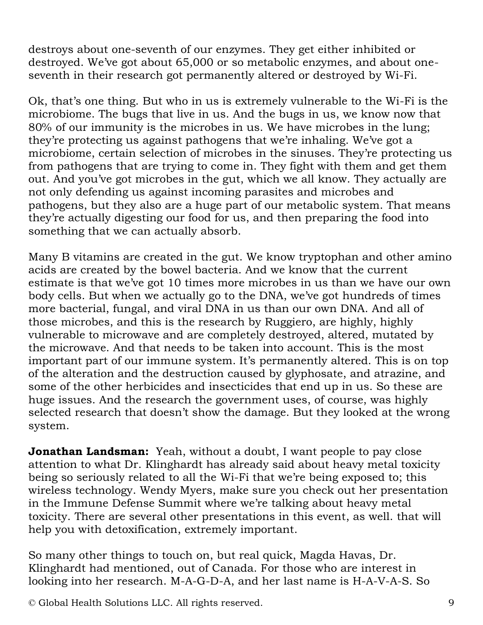destroys about one-seventh of our enzymes. They get either inhibited or destroyed. We've got about 65,000 or so metabolic enzymes, and about oneseventh in their research got permanently altered or destroyed by Wi-Fi.

Ok, that's one thing. But who in us is extremely vulnerable to the Wi-Fi is the microbiome. The bugs that live in us. And the bugs in us, we know now that 80% of our immunity is the microbes in us. We have microbes in the lung; they're protecting us against pathogens that we're inhaling. We've got a microbiome, certain selection of microbes in the sinuses. They're protecting us from pathogens that are trying to come in. They fight with them and get them out. And you've got microbes in the gut, which we all know. They actually are not only defending us against incoming parasites and microbes and pathogens, but they also are a huge part of our metabolic system. That means they're actually digesting our food for us, and then preparing the food into something that we can actually absorb.

Many B vitamins are created in the gut. We know tryptophan and other amino acids are created by the bowel bacteria. And we know that the current estimate is that we've got 10 times more microbes in us than we have our own body cells. But when we actually go to the DNA, we've got hundreds of times more bacterial, fungal, and viral DNA in us than our own DNA. And all of those microbes, and this is the research by Ruggiero, are highly, highly vulnerable to microwave and are completely destroyed, altered, mutated by the microwave. And that needs to be taken into account. This is the most important part of our immune system. It's permanently altered. This is on top of the alteration and the destruction caused by glyphosate, and atrazine, and some of the other herbicides and insecticides that end up in us. So these are huge issues. And the research the government uses, of course, was highly selected research that doesn't show the damage. But they looked at the wrong system.

**Jonathan Landsman:** Yeah, without a doubt, I want people to pay close attention to what Dr. Klinghardt has already said about heavy metal toxicity being so seriously related to all the Wi-Fi that we're being exposed to; this wireless technology. Wendy Myers, make sure you check out her presentation in the Immune Defense Summit where we're talking about heavy metal toxicity. There are several other presentations in this event, as well. that will help you with detoxification, extremely important.

So many other things to touch on, but real quick, Magda Havas, Dr. Klinghardt had mentioned, out of Canada. For those who are interest in looking into her research. M-A-G-D-A, and her last name is H-A-V-A-S. So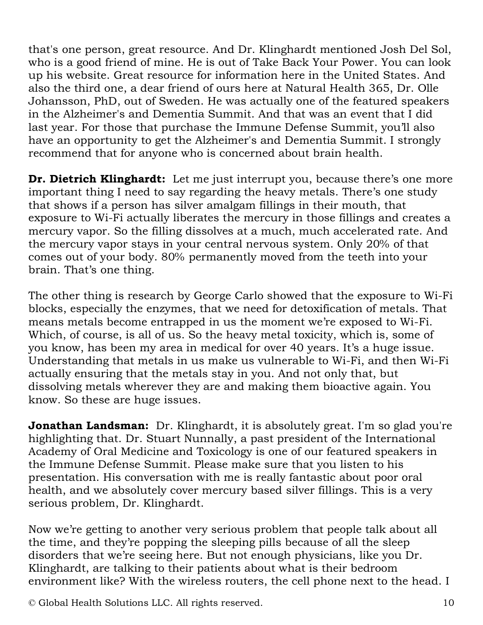that's one person, great resource. And Dr. Klinghardt mentioned Josh Del Sol, who is a good friend of mine. He is out of Take Back Your Power. You can look up his website. Great resource for information here in the United States. And also the third one, a dear friend of ours here at Natural Health 365, Dr. Olle Johansson, PhD, out of Sweden. He was actually one of the featured speakers in the Alzheimer's and Dementia Summit. And that was an event that I did last year. For those that purchase the Immune Defense Summit, you'll also have an opportunity to get the Alzheimer's and Dementia Summit. I strongly recommend that for anyone who is concerned about brain health.

**Dr. Dietrich Klinghardt:** Let me just interrupt you, because there's one more important thing I need to say regarding the heavy metals. There's one study that shows if a person has silver amalgam fillings in their mouth, that exposure to Wi-Fi actually liberates the mercury in those fillings and creates a mercury vapor. So the filling dissolves at a much, much accelerated rate. And the mercury vapor stays in your central nervous system. Only 20% of that comes out of your body. 80% permanently moved from the teeth into your brain. That's one thing.

The other thing is research by George Carlo showed that the exposure to Wi-Fi blocks, especially the enzymes, that we need for detoxification of metals. That means metals become entrapped in us the moment we're exposed to Wi-Fi. Which, of course, is all of us. So the heavy metal toxicity, which is, some of you know, has been my area in medical for over 40 years. It's a huge issue. Understanding that metals in us make us vulnerable to Wi-Fi, and then Wi-Fi actually ensuring that the metals stay in you. And not only that, but dissolving metals wherever they are and making them bioactive again. You know. So these are huge issues.

**Jonathan Landsman:** Dr. Klinghardt, it is absolutely great. I'm so glad you're highlighting that. Dr. Stuart Nunnally, a past president of the International Academy of Oral Medicine and Toxicology is one of our featured speakers in the Immune Defense Summit. Please make sure that you listen to his presentation. His conversation with me is really fantastic about poor oral health, and we absolutely cover mercury based silver fillings. This is a very serious problem, Dr. Klinghardt.

Now we're getting to another very serious problem that people talk about all the time, and they're popping the sleeping pills because of all the sleep disorders that we're seeing here. But not enough physicians, like you Dr. Klinghardt, are talking to their patients about what is their bedroom environment like? With the wireless routers, the cell phone next to the head. I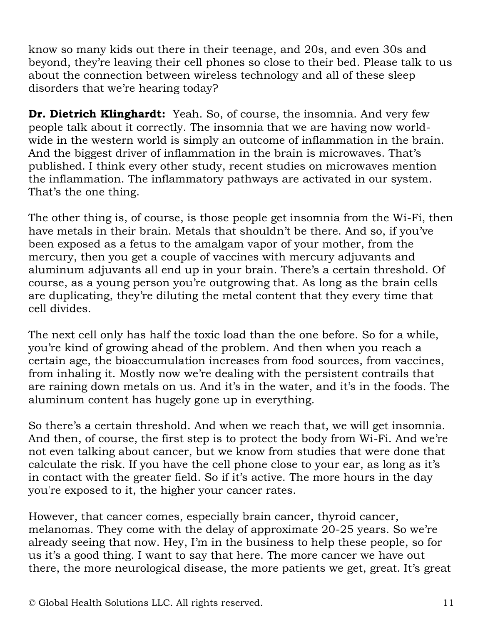know so many kids out there in their teenage, and 20s, and even 30s and beyond, they're leaving their cell phones so close to their bed. Please talk to us about the connection between wireless technology and all of these sleep disorders that we're hearing today?

**Dr. Dietrich Klinghardt:** Yeah. So, of course, the insomnia. And very few people talk about it correctly. The insomnia that we are having now worldwide in the western world is simply an outcome of inflammation in the brain. And the biggest driver of inflammation in the brain is microwaves. That's published. I think every other study, recent studies on microwaves mention the inflammation. The inflammatory pathways are activated in our system. That's the one thing.

The other thing is, of course, is those people get insomnia from the Wi-Fi, then have metals in their brain. Metals that shouldn't be there. And so, if you've been exposed as a fetus to the amalgam vapor of your mother, from the mercury, then you get a couple of vaccines with mercury adjuvants and aluminum adjuvants all end up in your brain. There's a certain threshold. Of course, as a young person you're outgrowing that. As long as the brain cells are duplicating, they're diluting the metal content that they every time that cell divides.

The next cell only has half the toxic load than the one before. So for a while, you're kind of growing ahead of the problem. And then when you reach a certain age, the bioaccumulation increases from food sources, from vaccines, from inhaling it. Mostly now we're dealing with the persistent contrails that are raining down metals on us. And it's in the water, and it's in the foods. The aluminum content has hugely gone up in everything.

So there's a certain threshold. And when we reach that, we will get insomnia. And then, of course, the first step is to protect the body from Wi-Fi. And we're not even talking about cancer, but we know from studies that were done that calculate the risk. If you have the cell phone close to your ear, as long as it's in contact with the greater field. So if it's active. The more hours in the day you're exposed to it, the higher your cancer rates.

However, that cancer comes, especially brain cancer, thyroid cancer, melanomas. They come with the delay of approximate 20-25 years. So we're already seeing that now. Hey, I'm in the business to help these people, so for us it's a good thing. I want to say that here. The more cancer we have out there, the more neurological disease, the more patients we get, great. It's great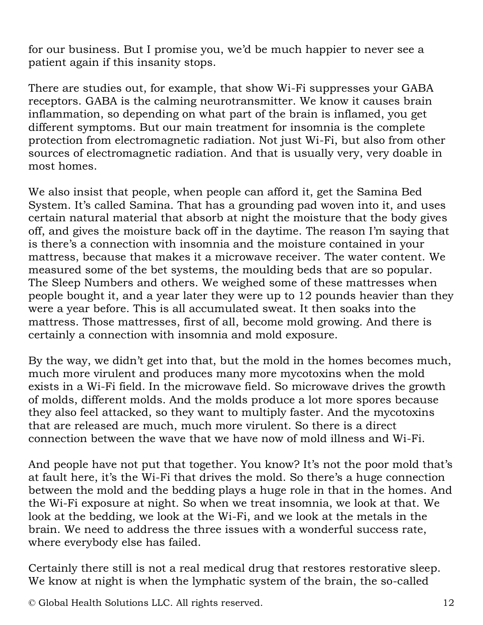for our business. But I promise you, we'd be much happier to never see a patient again if this insanity stops.

There are studies out, for example, that show Wi-Fi suppresses your GABA receptors. GABA is the calming neurotransmitter. We know it causes brain inflammation, so depending on what part of the brain is inflamed, you get different symptoms. But our main treatment for insomnia is the complete protection from electromagnetic radiation. Not just Wi-Fi, but also from other sources of electromagnetic radiation. And that is usually very, very doable in most homes.

We also insist that people, when people can afford it, get the Samina Bed System. It's called Samina. That has a grounding pad woven into it, and uses certain natural material that absorb at night the moisture that the body gives off, and gives the moisture back off in the daytime. The reason I'm saying that is there's a connection with insomnia and the moisture contained in your mattress, because that makes it a microwave receiver. The water content. We measured some of the bet systems, the moulding beds that are so popular. The Sleep Numbers and others. We weighed some of these mattresses when people bought it, and a year later they were up to 12 pounds heavier than they were a year before. This is all accumulated sweat. It then soaks into the mattress. Those mattresses, first of all, become mold growing. And there is certainly a connection with insomnia and mold exposure.

By the way, we didn't get into that, but the mold in the homes becomes much, much more virulent and produces many more mycotoxins when the mold exists in a Wi-Fi field. In the microwave field. So microwave drives the growth of molds, different molds. And the molds produce a lot more spores because they also feel attacked, so they want to multiply faster. And the mycotoxins that are released are much, much more virulent. So there is a direct connection between the wave that we have now of mold illness and Wi-Fi.

And people have not put that together. You know? It's not the poor mold that's at fault here, it's the Wi-Fi that drives the mold. So there's a huge connection between the mold and the bedding plays a huge role in that in the homes. And the Wi-Fi exposure at night. So when we treat insomnia, we look at that. We look at the bedding, we look at the Wi-Fi, and we look at the metals in the brain. We need to address the three issues with a wonderful success rate, where everybody else has failed.

Certainly there still is not a real medical drug that restores restorative sleep. We know at night is when the lymphatic system of the brain, the so-called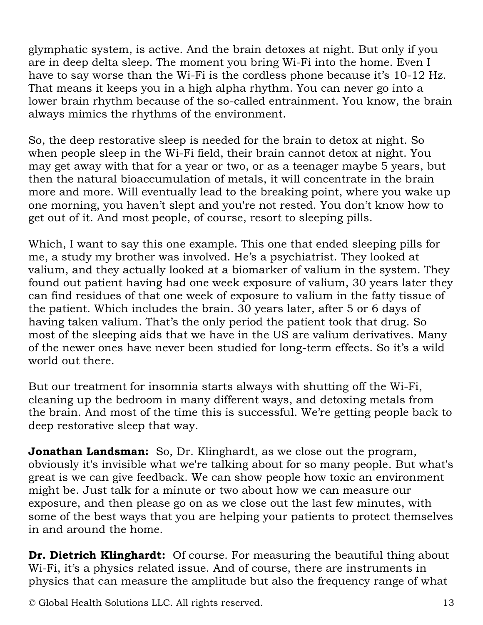glymphatic system, is active. And the brain detoxes at night. But only if you are in deep delta sleep. The moment you bring Wi-Fi into the home. Even I have to say worse than the Wi-Fi is the cordless phone because it's 10-12 Hz. That means it keeps you in a high alpha rhythm. You can never go into a lower brain rhythm because of the so-called entrainment. You know, the brain always mimics the rhythms of the environment.

So, the deep restorative sleep is needed for the brain to detox at night. So when people sleep in the Wi-Fi field, their brain cannot detox at night. You may get away with that for a year or two, or as a teenager maybe 5 years, but then the natural bioaccumulation of metals, it will concentrate in the brain more and more. Will eventually lead to the breaking point, where you wake up one morning, you haven't slept and you're not rested. You don't know how to get out of it. And most people, of course, resort to sleeping pills.

Which, I want to say this one example. This one that ended sleeping pills for me, a study my brother was involved. He's a psychiatrist. They looked at valium, and they actually looked at a biomarker of valium in the system. They found out patient having had one week exposure of valium, 30 years later they can find residues of that one week of exposure to valium in the fatty tissue of the patient. Which includes the brain. 30 years later, after 5 or 6 days of having taken valium. That's the only period the patient took that drug. So most of the sleeping aids that we have in the US are valium derivatives. Many of the newer ones have never been studied for long-term effects. So it's a wild world out there.

But our treatment for insomnia starts always with shutting off the Wi-Fi, cleaning up the bedroom in many different ways, and detoxing metals from the brain. And most of the time this is successful. We're getting people back to deep restorative sleep that way.

**Jonathan Landsman:** So, Dr. Klinghardt, as we close out the program, obviously it's invisible what we're talking about for so many people. But what's great is we can give feedback. We can show people how toxic an environment might be. Just talk for a minute or two about how we can measure our exposure, and then please go on as we close out the last few minutes, with some of the best ways that you are helping your patients to protect themselves in and around the home.

**Dr. Dietrich Klinghardt:** Of course. For measuring the beautiful thing about Wi-Fi, it's a physics related issue. And of course, there are instruments in physics that can measure the amplitude but also the frequency range of what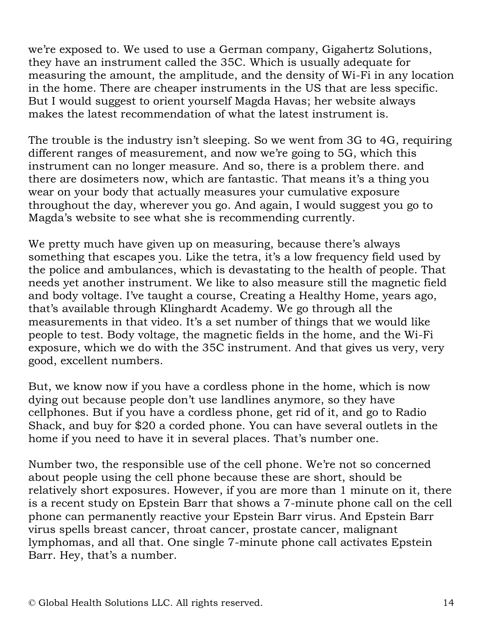we're exposed to. We used to use a German company, Gigahertz Solutions, they have an instrument called the 35C. Which is usually adequate for measuring the amount, the amplitude, and the density of Wi-Fi in any location in the home. There are cheaper instruments in the US that are less specific. But I would suggest to orient yourself Magda Havas; her website always makes the latest recommendation of what the latest instrument is.

The trouble is the industry isn't sleeping. So we went from 3G to 4G, requiring different ranges of measurement, and now we're going to 5G, which this instrument can no longer measure. And so, there is a problem there. and there are dosimeters now, which are fantastic. That means it's a thing you wear on your body that actually measures your cumulative exposure throughout the day, wherever you go. And again, I would suggest you go to Magda's website to see what she is recommending currently.

We pretty much have given up on measuring, because there's always something that escapes you. Like the tetra, it's a low frequency field used by the police and ambulances, which is devastating to the health of people. That needs yet another instrument. We like to also measure still the magnetic field and body voltage. I've taught a course, Creating a Healthy Home, years ago, that's available through Klinghardt Academy. We go through all the measurements in that video. It's a set number of things that we would like people to test. Body voltage, the magnetic fields in the home, and the Wi-Fi exposure, which we do with the 35C instrument. And that gives us very, very good, excellent numbers.

But, we know now if you have a cordless phone in the home, which is now dying out because people don't use landlines anymore, so they have cellphones. But if you have a cordless phone, get rid of it, and go to Radio Shack, and buy for \$20 a corded phone. You can have several outlets in the home if you need to have it in several places. That's number one.

Number two, the responsible use of the cell phone. We're not so concerned about people using the cell phone because these are short, should be relatively short exposures. However, if you are more than 1 minute on it, there is a recent study on Epstein Barr that shows a 7-minute phone call on the cell phone can permanently reactive your Epstein Barr virus. And Epstein Barr virus spells breast cancer, throat cancer, prostate cancer, malignant lymphomas, and all that. One single 7-minute phone call activates Epstein Barr. Hey, that's a number.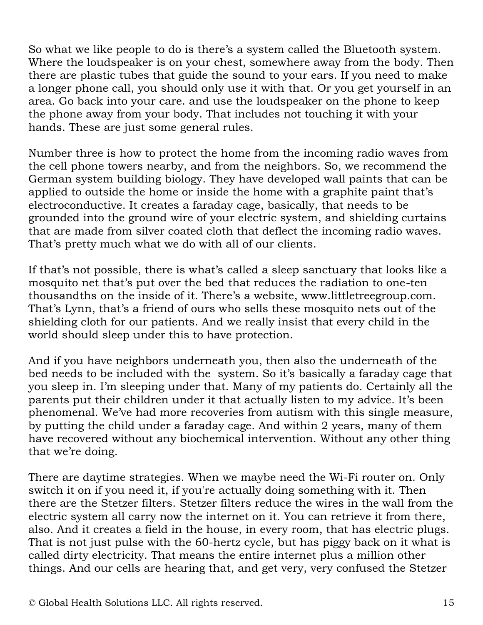So what we like people to do is there's a system called the Bluetooth system. Where the loudspeaker is on your chest, somewhere away from the body. Then there are plastic tubes that guide the sound to your ears. If you need to make a longer phone call, you should only use it with that. Or you get yourself in an area. Go back into your care. and use the loudspeaker on the phone to keep the phone away from your body. That includes not touching it with your hands. These are just some general rules.

Number three is how to protect the home from the incoming radio waves from the cell phone towers nearby, and from the neighbors. So, we recommend the German system building biology. They have developed wall paints that can be applied to outside the home or inside the home with a graphite paint that's electroconductive. It creates a faraday cage, basically, that needs to be grounded into the ground wire of your electric system, and shielding curtains that are made from silver coated cloth that deflect the incoming radio waves. That's pretty much what we do with all of our clients.

If that's not possible, there is what's called a sleep sanctuary that looks like a mosquito net that's put over the bed that reduces the radiation to one-ten thousandths on the inside of it. There's a website, www.littletreegroup.com. That's Lynn, that's a friend of ours who sells these mosquito nets out of the shielding cloth for our patients. And we really insist that every child in the world should sleep under this to have protection.

And if you have neighbors underneath you, then also the underneath of the bed needs to be included with the system. So it's basically a faraday cage that you sleep in. I'm sleeping under that. Many of my patients do. Certainly all the parents put their children under it that actually listen to my advice. It's been phenomenal. We've had more recoveries from autism with this single measure, by putting the child under a faraday cage. And within 2 years, many of them have recovered without any biochemical intervention. Without any other thing that we're doing.

There are daytime strategies. When we maybe need the Wi-Fi router on. Only switch it on if you need it, if you're actually doing something with it. Then there are the Stetzer filters. Stetzer filters reduce the wires in the wall from the electric system all carry now the internet on it. You can retrieve it from there, also. And it creates a field in the house, in every room, that has electric plugs. That is not just pulse with the 60-hertz cycle, but has piggy back on it what is called dirty electricity. That means the entire internet plus a million other things. And our cells are hearing that, and get very, very confused the Stetzer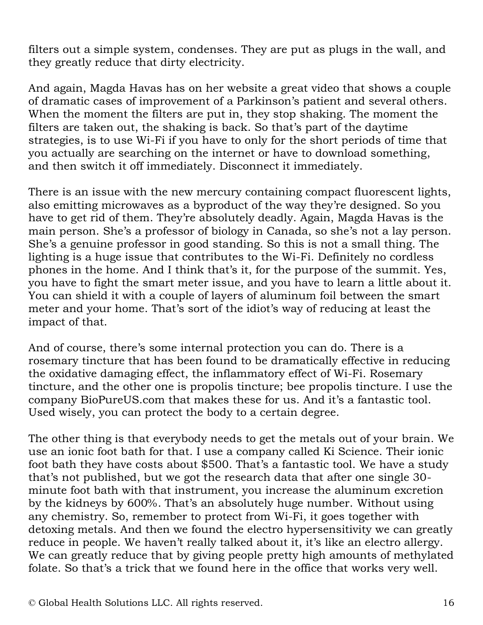filters out a simple system, condenses. They are put as plugs in the wall, and they greatly reduce that dirty electricity.

And again, Magda Havas has on her website a great video that shows a couple of dramatic cases of improvement of a Parkinson's patient and several others. When the moment the filters are put in, they stop shaking. The moment the filters are taken out, the shaking is back. So that's part of the daytime strategies, is to use Wi-Fi if you have to only for the short periods of time that you actually are searching on the internet or have to download something, and then switch it off immediately. Disconnect it immediately.

There is an issue with the new mercury containing compact fluorescent lights, also emitting microwaves as a byproduct of the way they're designed. So you have to get rid of them. They're absolutely deadly. Again, Magda Havas is the main person. She's a professor of biology in Canada, so she's not a lay person. She's a genuine professor in good standing. So this is not a small thing. The lighting is a huge issue that contributes to the Wi-Fi. Definitely no cordless phones in the home. And I think that's it, for the purpose of the summit. Yes, you have to fight the smart meter issue, and you have to learn a little about it. You can shield it with a couple of layers of aluminum foil between the smart meter and your home. That's sort of the idiot's way of reducing at least the impact of that.

And of course, there's some internal protection you can do. There is a rosemary tincture that has been found to be dramatically effective in reducing the oxidative damaging effect, the inflammatory effect of Wi-Fi. Rosemary tincture, and the other one is propolis tincture; bee propolis tincture. I use the company BioPureUS.com that makes these for us. And it's a fantastic tool. Used wisely, you can protect the body to a certain degree.

The other thing is that everybody needs to get the metals out of your brain. We use an ionic foot bath for that. I use a company called Ki Science. Their ionic foot bath they have costs about \$500. That's a fantastic tool. We have a study that's not published, but we got the research data that after one single 30 minute foot bath with that instrument, you increase the aluminum excretion by the kidneys by 600%. That's an absolutely huge number. Without using any chemistry. So, remember to protect from Wi-Fi, it goes together with detoxing metals. And then we found the electro hypersensitivity we can greatly reduce in people. We haven't really talked about it, it's like an electro allergy. We can greatly reduce that by giving people pretty high amounts of methylated folate. So that's a trick that we found here in the office that works very well.